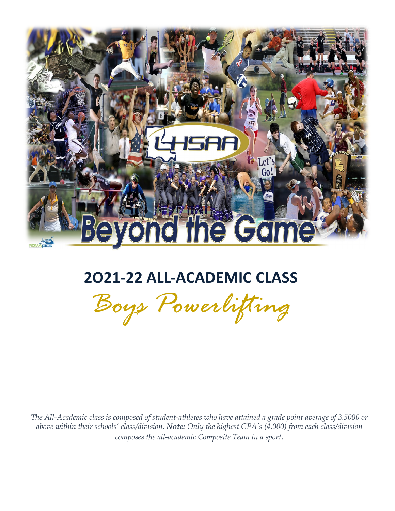

## **2O21-22 ALL-ACADEMIC CLASS**

*Boys Powerlifting*

 *The All-Academic class is composed of student-athletes who have attained a grade point average of 3.5000 or above within their schools' class/division. Note: Only the highest GPA's (4.000) from each class/division composes the all-academic Composite Team in a sport.*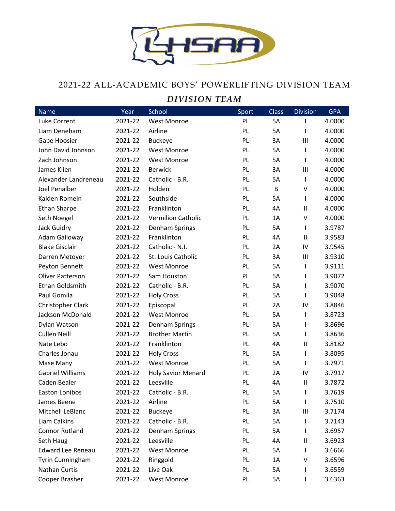

## 2021-22 ALL-ACADEMIC BOYS' POWERLIFTING DIVISION TEAM

## *DIVISION TEAM*

| Name                     | Year    | School                    | Sport     | <b>Class</b> | <b>Division</b> | <b>GPA</b> |
|--------------------------|---------|---------------------------|-----------|--------------|-----------------|------------|
| Luke Corrent             | 2021-22 | <b>West Monroe</b>        | PL        | 5A           | I               | 4.0000     |
| Liam Deneham             | 2021-22 | Airline                   | PL        | 5A           | I               | 4.0000     |
| Gabe Hoosier             | 2021-22 | <b>Buckeye</b>            | <b>PL</b> | 3A           | $\mathbf{III}$  | 4.0000     |
| John David Johnson       | 2021-22 | <b>West Monroe</b>        | <b>PL</b> | 5A           | I               | 4.0000     |
| Zach Johnson             | 2021-22 | <b>West Monroe</b>        | <b>PL</b> | 5A           | $\mathsf{l}$    | 4.0000     |
| James Klien              | 2021-22 | <b>Berwick</b>            | PL        | 3A           | $\mathbf{III}$  | 4.0000     |
| Alexander Landreneau     | 2021-22 | Catholic - B.R.           | <b>PL</b> | 5A           | $\mathbf{I}$    | 4.0000     |
| <b>Joel Penalber</b>     | 2021-22 | Holden                    | PL        | B            | V               | 4.0000     |
| Kaiden Romein            | 2021-22 | Southside                 | <b>PL</b> | 5A           | $\mathbf{I}$    | 4.0000     |
| <b>Ethan Sharpe</b>      | 2021-22 | Franklinton               | PL        | 4A           | $\sf II$        | 4.0000     |
| Seth Noegel              | 2021-22 | <b>Vermilion Catholic</b> | <b>PL</b> | 1A           | V               | 4.0000     |
| Jack Guidry              | 2021-22 | Denham Springs            | PL        | 5A           | $\mathbf{I}$    | 3.9787     |
| Adam Galloway            | 2021-22 | Franklinton               | <b>PL</b> | 4A           | $\sf II$        | 3.9583     |
| <b>Blake Gisclair</b>    | 2021-22 | Catholic - N.I.           | PL        | 2A           | IV              | 3.9545     |
| Darren Metoyer           | 2021-22 | St. Louis Catholic        | <b>PL</b> | 3A           | Ш               | 3.9310     |
| Peyton Bennett           | 2021-22 | <b>West Monroe</b>        | <b>PL</b> | 5A           | $\mathsf{l}$    | 3.9111     |
| <b>Oliver Patterson</b>  | 2021-22 | Sam Houston               | PL        | 5A           | $\mathsf{l}$    | 3.9072     |
| Ethan Goldsmith          | 2021-22 | Catholic - B.R.           | PL        | 5A           | $\mathsf{l}$    | 3.9070     |
| Paul Gomila              | 2021-22 | <b>Holy Cross</b>         | PL        | 5A           | $\mathsf{l}$    | 3.9048     |
| Christopher Clark        | 2021-22 | Episcopal                 | <b>PL</b> | 2A           | IV              | 3.8846     |
| Jackson McDonald         | 2021-22 | <b>West Monroe</b>        | PL        | 5A           | $\mathbf{I}$    | 3.8723     |
| Dylan Watson             | 2021-22 | Denham Springs            | PL        | 5A           | I               | 3.8696     |
| <b>Cullen Neill</b>      | 2021-22 | <b>Brother Martin</b>     | <b>PL</b> | 5A           | $\mathsf{l}$    | 3.8636     |
| Nate Lebo                | 2021-22 | Franklinton               | <b>PL</b> | 4A           | $\sf II$        | 3.8182     |
| Charles Jonau            | 2021-22 | <b>Holy Cross</b>         | PL        | 5A           | $\mathbf{I}$    | 3.8095     |
| Mase Many                | 2021-22 | <b>West Monroe</b>        | PL        | 5A           | $\mathbf{I}$    | 3.7971     |
| <b>Gabriel Williams</b>  | 2021-22 | <b>Holy Savior Menard</b> | PL        | 2A           | IV              | 3.7917     |
| Caden Bealer             | 2021-22 | Leesville                 | PL        | 4A           | $\sf II$        | 3.7872     |
| Easton Lonibos           | 2021-22 | Catholic - B.R.           | PL        | 5A           | ı               | 3.7619     |
| James Beene              | 2021-22 | Airline                   | PL        | 5A           | $\mathsf{l}$    | 3.7510     |
| Mitchell LeBlanc         | 2021-22 | <b>Buckeye</b>            | PL        | 3A           | $\mathbf{III}$  | 3.7174     |
| Liam Calkins             | 2021-22 | Catholic - B.R.           | PL        | 5A           | I               | 3.7143     |
| <b>Connor Rutland</b>    | 2021-22 | Denham Springs            | <b>PL</b> | 5A           |                 | 3.6957     |
| Seth Haug                | 2021-22 | Leesville                 | PL        | 4A           | Ш               | 3.6923     |
| <b>Edward Lee Reneau</b> | 2021-22 | West Monroe               | PL        | 5A           | $\mathbf{I}$    | 3.6666     |
| Tyrin Cunningham         | 2021-22 | Ringgold                  | PL        | 1A           | ٧               | 3.6596     |
| Nathan Curtis            | 2021-22 | Live Oak                  | <b>PL</b> | 5A           | $\mathsf{l}$    | 3.6559     |
| Cooper Brasher           | 2021-22 | <b>West Monroe</b>        | PL        | 5A           | I               | 3.6363     |